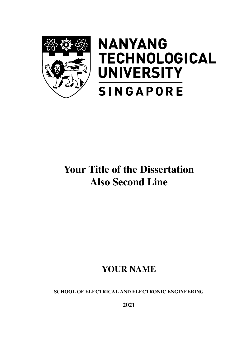<span id="page-0-0"></span>

# **NANYANG TECHNOLOGICAL UNIVERSITY SINGAPORE**

# Your Title of the Dissertation Also Second Line

## YOUR NAME

SCHOOL OF ELECTRICAL AND ELECTRONIC ENGINEERING

2021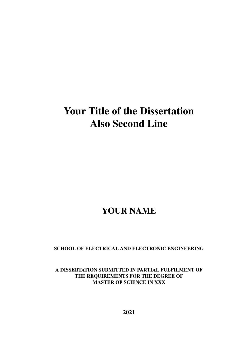## Your Title of the Dissertation Also Second Line

### YOUR NAME

SCHOOL OF ELECTRICAL AND ELECTRONIC ENGINEERING

A DISSERTATION SUBMITTED IN PARTIAL FULFILMENT OF THE REQUIREMENTS FOR THE DEGREE OF MASTER OF SCIENCE IN XXX

2021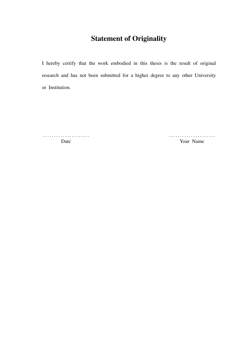### Statement of Originality

I hereby certify that the work embodied in this thesis is the result of original research and has not been submitted for a higher degree to any other University or Institution.

. . . . . . . . . . . . . . . . . . . . . . . . . . . . . . . . . . . . . . . . . . Date **Your Name**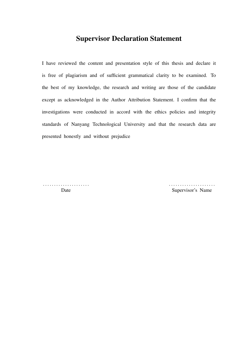### Supervisor Declaration Statement

I have reviewed the content and presentation style of this thesis and declare it is free of plagiarism and of sufficient grammatical clarity to be examined. To the best of my knowledge, the research and writing are those of the candidate except as acknowledged in the Author Attribution Statement. I confirm that the investigations were conducted in accord with the ethics policies and integrity standards of Nanyang Technological University and that the research data are presented honestly and without prejudice

. . . . . . . . . . . . . . . . . . . . . . . . . . . . . . . . . . . . . . . . . .

Date Supervisor's Name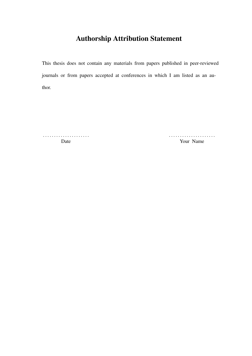### Authorship Attribution Statement

This thesis does not contain any materials from papers published in peer-reviewed journals or from papers accepted at conferences in which I am listed as an author.

. . . . . . . . . . . . . . . . . . . . . . . . . . . . . . . . . . . . . . . . . . Date **Your Name**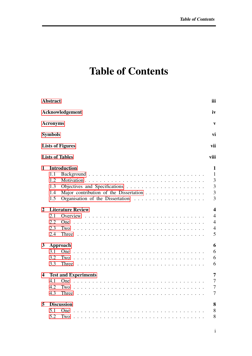# Table of Contents

|                         | <b>Abstract</b>                 |                                                                                                                         | iii                                                     |  |  |  |  |  |  |  |  |  |
|-------------------------|---------------------------------|-------------------------------------------------------------------------------------------------------------------------|---------------------------------------------------------|--|--|--|--|--|--|--|--|--|
|                         | Acknowledgement<br>iv           |                                                                                                                         |                                                         |  |  |  |  |  |  |  |  |  |
|                         | <b>Acronyms</b>                 |                                                                                                                         | $\mathbf{v}$                                            |  |  |  |  |  |  |  |  |  |
|                         | <b>Symbols</b>                  |                                                                                                                         | vi                                                      |  |  |  |  |  |  |  |  |  |
|                         |                                 | <b>Lists of Figures</b>                                                                                                 | vii                                                     |  |  |  |  |  |  |  |  |  |
|                         |                                 | <b>Lists of Tables</b>                                                                                                  | viii                                                    |  |  |  |  |  |  |  |  |  |
| $\mathbf{1}$            |                                 | <b>Introduction</b>                                                                                                     | $\mathbf{1}$                                            |  |  |  |  |  |  |  |  |  |
|                         | 1.1<br>1.2<br>1.3<br>1.4<br>1.5 | Major contribution of the Dissertation                                                                                  | $\mathbf{1}$<br>3<br>3<br>3<br>3                        |  |  |  |  |  |  |  |  |  |
| 2                       |                                 | <b>Literature Review</b>                                                                                                | $\overline{\mathbf{4}}$                                 |  |  |  |  |  |  |  |  |  |
|                         | 2.1<br>2.2<br>2.3<br>2.4        | <b>One</b><br>Two<br>Three $\ldots \ldots \ldots \ldots \ldots \ldots \ldots \ldots \ldots \ldots \ldots \ldots \ldots$ | $\overline{4}$<br>$\overline{4}$<br>$\overline{4}$<br>5 |  |  |  |  |  |  |  |  |  |
| $\mathbf{3}$            | 3.1<br>3.2<br>3.3               | Approach<br>Two<br>Three                                                                                                | 6<br>6<br>6<br>6                                        |  |  |  |  |  |  |  |  |  |
| $\overline{\mathbf{4}}$ | 4.1<br>4.2<br>4.3               | <b>Test and Experiments</b><br>One<br>Two<br>Three                                                                      | $\overline{7}$<br>$\overline{7}$<br>$\overline{7}$<br>7 |  |  |  |  |  |  |  |  |  |
| $\overline{5}$          | 5.1<br>5.2                      | <b>Discussion</b>                                                                                                       | 8<br>8<br>8                                             |  |  |  |  |  |  |  |  |  |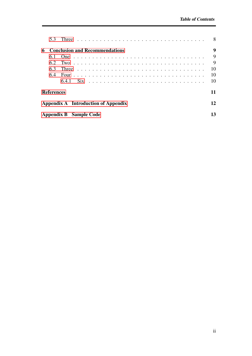|                                     | 5.3               | Three                                 | 8  |  |  |  |  |  |  |  |
|-------------------------------------|-------------------|---------------------------------------|----|--|--|--|--|--|--|--|
| 6                                   |                   | <b>Conclusion and Recommendations</b> | 9  |  |  |  |  |  |  |  |
|                                     | 6.1               |                                       | 9  |  |  |  |  |  |  |  |
|                                     | 6.2               |                                       | 9  |  |  |  |  |  |  |  |
|                                     | 63                |                                       | 10 |  |  |  |  |  |  |  |
|                                     | 6.4               |                                       | 10 |  |  |  |  |  |  |  |
|                                     |                   | 641                                   | 10 |  |  |  |  |  |  |  |
|                                     | <b>References</b> |                                       | 11 |  |  |  |  |  |  |  |
| Appendix A Introduction of Appendix |                   |                                       |    |  |  |  |  |  |  |  |
| Appendix B Sample Code              |                   |                                       |    |  |  |  |  |  |  |  |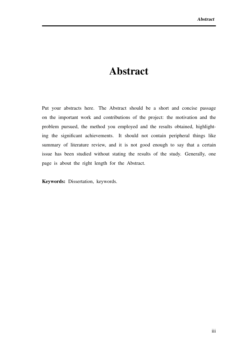### Abstract

<span id="page-7-0"></span>Put your abstracts here. The Abstract should be a short and concise passage on the important work and contributions of the project: the motivation and the problem pursued, the method you employed and the results obtained, highlighting the significant achievements. It should not contain peripheral things like summary of literature review, and it is not good enough to say that a certain issue has been studied without stating the results of the study. Generally, one page is about the right length for the Abstract.

Keywords: Dissertation, keywords.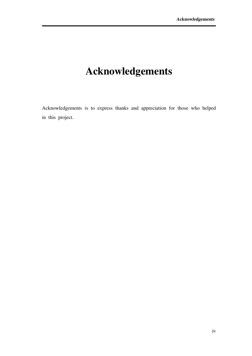# <span id="page-8-0"></span>Acknowledgements

Acknowledgements is to express thanks and appreciation for those who helped in this project.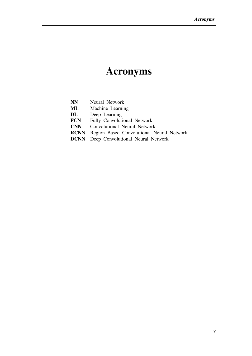# Acronyms

<span id="page-9-0"></span>

| <b>NN</b>   | Neural Network                            |
|-------------|-------------------------------------------|
| ML          | Machine Learning                          |
| DL          | Deep Learning                             |
| <b>FCN</b>  | Fully Convolutional Network               |
| <b>CNN</b>  | Convolutional Neural Network              |
| <b>RCNN</b> | Region Based Convolutional Neural Network |
| <b>DCNN</b> | Deep Convolutional Neural Network         |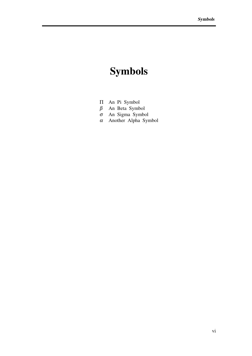# <span id="page-10-0"></span>Symbols

- 
- Π An Pi Symbol
- $β$  An Beta Symbol  $σ$  An Sigma Symbo σ An Sigma Symbol
- α Another Alpha Symbol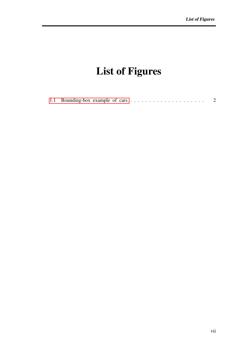# <span id="page-11-0"></span>List of Figures

|--|--|--|--|--|--|--|--|--|--|--|--|--|--|--|--|--|--|--|--|--|--|--|--|--|--|--|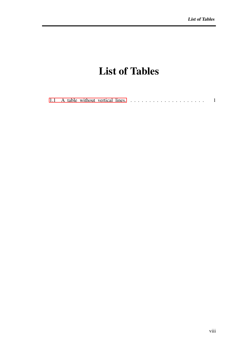## List of Tables

<span id="page-12-0"></span>

|--|--|--|--|--|--|--|--|--|--|--|--|--|--|--|--|--|--|--|--|--|--|--|--|--|--|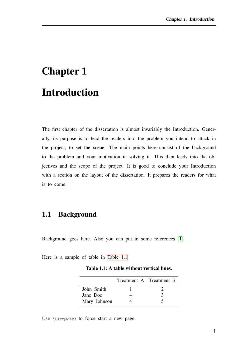# <span id="page-13-0"></span>Chapter 1 Introduction

The first chapter of the dissertation is almost invariably the Introduction. Generally, its purpose is to lead the readers into the problem you intend to attack in the project, to set the scene. The main points here consist of the background to the problem and your motivation in solving it. This then leads into the objectives and the scope of the project. It is good to conclude your Introduction with a section on the layout of the dissertation. It prepares the readers for what is to come

### <span id="page-13-1"></span>1.1 Background

Background goes here. Also you can put in some references [\[1\]](#page-23-1).

<span id="page-13-2"></span>Here is a sample of table in [Table 1.1](#page-13-2)

Table 1.1: A table without vertical lines.

|              | Treatment A Treatment B |               |
|--------------|-------------------------|---------------|
| John Smith   |                         |               |
| Jane Doe     |                         | $\mathcal{L}$ |
| Mary Johnson |                         |               |

Use \newpage to force start a new page.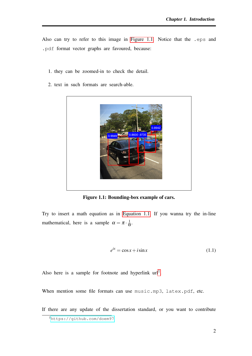Also can try to refer to this image in [Figure 1.1.](#page-14-0) Notice that the .eps and .pdf format vector graphs are favoured, because:

- 1. they can be zoomed-in to check the detail.
- <span id="page-14-0"></span>2. text in such formats are search-able.



Figure 1.1: Bounding-box example of cars.

<span id="page-14-1"></span>Try to insert a math equation as in [Equation 1.1.](#page-14-1) If you wanna try the in-line mathematical, here is a sample  $\alpha = \pi \cdot \frac{1}{6}$  $\frac{1}{\Theta}$ .

$$
e^{ix} = \cos x + i \sin x \tag{1.1}
$$

Also here is a sample for footnote and hyperlink  $url<sup>1</sup>$  $url<sup>1</sup>$  $url<sup>1</sup>$ .

When mention some file formats can use music.mp3, latex.pdf, etc.

If there are any update of the dissertation standard, or you want to contribute

<sup>1</sup><https://github.com/doem97>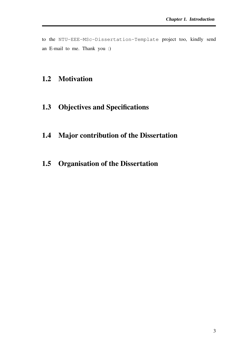to the NTU-EEE-MSc-Dissertation-Template project too, kindly send an E-mail to me. Thank you :)

### <span id="page-15-1"></span><span id="page-15-0"></span>1.2 Motivation

- <span id="page-15-2"></span>1.3 Objectives and Specifications
- <span id="page-15-3"></span>1.4 Major contribution of the Dissertation
- 1.5 Organisation of the Dissertation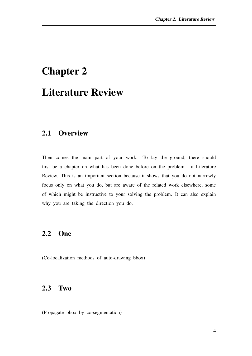### <span id="page-16-0"></span>Chapter 2

### Literature Review

#### <span id="page-16-1"></span>2.1 Overview

Then comes the main part of your work. To lay the ground, there should first be a chapter on what has been done before on the problem - a Literature Review. This is an important section because it shows that you do not narrowly focus only on what you do, but are aware of the related work elsewhere, some of which might be instructive to your solving the problem. It can also explain why you are taking the direction you do.

#### <span id="page-16-2"></span>2.2 One

<span id="page-16-3"></span>(Co-localization methods of auto-drawing bbox)

### 2.3 Two

(Propagate bbox by co-segmentation)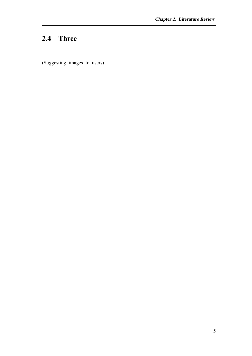### <span id="page-17-0"></span>2.4 Three

(Suggesting images to users)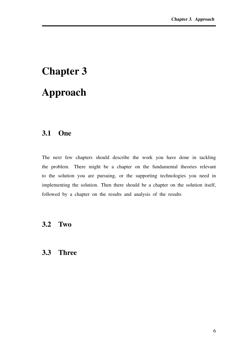# <span id="page-18-0"></span>Chapter 3 Approach

### <span id="page-18-1"></span>3.1 One

The next few chapters should describe the work you have done in tackling the problem. There might be a chapter on the fundamental theories relevant to the solution you are pursuing, or the supporting technologies you need in implementing the solution. Then there should be a chapter on the solution itself, followed by a chapter on the results and analysis of the results

#### <span id="page-18-3"></span><span id="page-18-2"></span>3.2 Two

#### 3.3 Three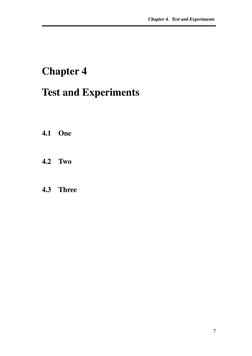## <span id="page-19-0"></span>Chapter 4

## Test and Experiments

- <span id="page-19-2"></span><span id="page-19-1"></span>4.1 One
- <span id="page-19-3"></span>4.2 Two

### 4.3 Three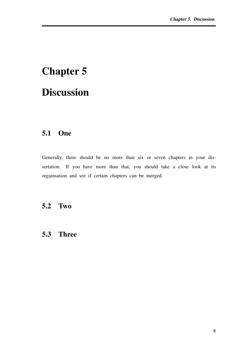# <span id="page-20-0"></span>Chapter 5 **Discussion**

### <span id="page-20-1"></span>5.1 One

Generally, there should be no more than six or seven chapters in your dissertation. If you have more than that, you should take a close look at its orgainsation and see if certain chapters can be merged.

### <span id="page-20-3"></span><span id="page-20-2"></span>5.2 Two

### 5.3 Three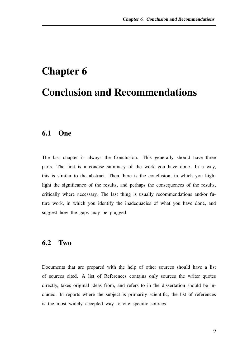# <span id="page-21-0"></span>Chapter 6 Conclusion and Recommendations

#### <span id="page-21-1"></span>6.1 One

The last chapter is always the Conclusion. This generally should have three parts. The first is a concise summary of the work you have done. In a way, this is similar to the abstract. Then there is the conclusion, in which you highlight the significance of the results, and perhaps the consequences of the results, critically where necessary. The last thing is usually recommendations and/or future work, in which you identify the inadequacies of what you have done, and suggest how the gaps may be plugged.

#### <span id="page-21-2"></span>6.2 Two

Documents that are prepared with the help of other sources should have a list of sources cited. A list of References contains only sources the writer quotes directly, takes original ideas from, and refers to in the dissertation should be included. In reports where the subject is primarily scientific, the list of references is the most widely accepted way to cite specific sources.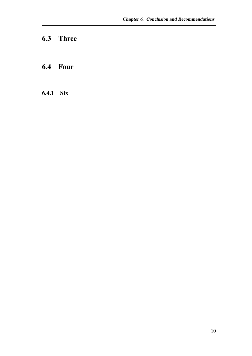### <span id="page-22-1"></span><span id="page-22-0"></span>6.3 Three

### <span id="page-22-2"></span>6.4 Four

### 6.4.1 Six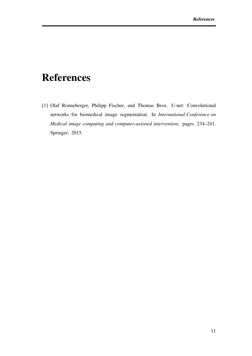## <span id="page-23-0"></span>References

<span id="page-23-1"></span>[1] Olaf Ronneberger, Philipp Fischer, and Thomas Brox. U-net: Convolutional networks for biomedical image segmentation. In *International Conference on Medical image computing and computer-assisted intervention*, pages 234–241. Springer, 2015.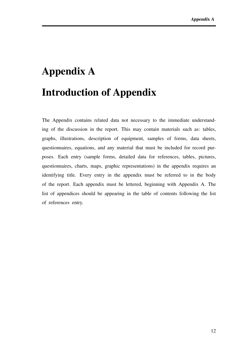# <span id="page-24-0"></span>Appendix A Introduction of Appendix

The Appendix contains related data not necessary to the immediate understanding of the discussion in the report. This may contain materials such as: tables, graphs, illustrations, description of equipment, samples of forms, data sheets, questionnaires, equations, and any material that must be included for record purposes. Each entry (sample forms, detailed data for references, tables, pictures, questionnaires, charts, maps, graphic representations) in the appendix requires an identifying title. Every entry in the appendix must be referred to in the body of the report. Each appendix must be lettered, beginning with Appendix A. The list of appendices should be appearing in the table of contents following the list of references entry.